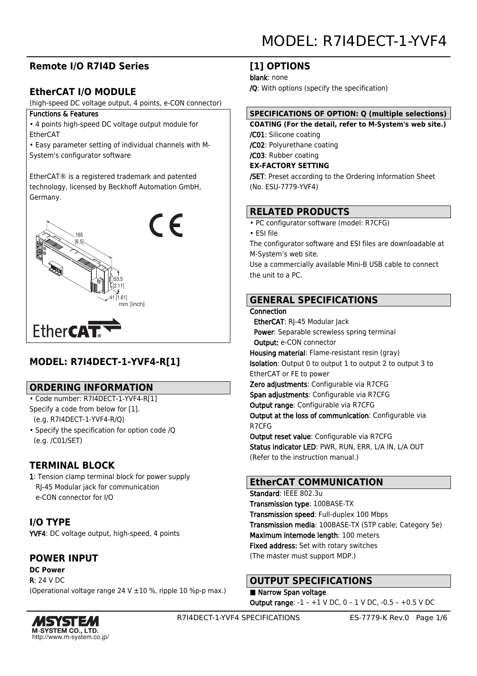# **Remote I/O R7I4D Series**

# **EtherCAT I/O MODULE**

(high-speed DC voltage output, 4 points, e-CON connector)

#### Functions & Features

- 4 points high-speed DC voltage output module for EtherCAT
- Easy parameter setting of individual channels with M-System's configurator software

EtherCAT® is a registered trademark and patented technology, licensed by Beckhoff Automation GmbH, Germany.



# **MODEL: R7I4DECT-1-YVF4-R[1]**

### **ORDERING INFORMATION**

- Code number: R7I4DECT-1-YVF4-R[1] Specify a code from below for [1]. (e.g. R7I4DECT-1-YVF4-R/Q)
- Specify the specification for option code /Q (e.g. /C01/SET)

# **TERMINAL BLOCK**

1: Tension clamp terminal block for power supply RJ-45 Modular jack for communication e-CON connector for I/O

**I/O TYPE** YVF4: DC voltage output, high-speed, 4 points

# **POWER INPUT**

**DC Power** R: 24 V DC (Operational voltage range 24 V ±10 %, ripple 10 %p-p max.)



### **[1] OPTIONS**

blank: none

/Q: With options (specify the specification)

### **SPECIFICATIONS OF OPTION: Q (multiple selections)**

**COATING (For the detail, refer to M-System's web site.)** /C01: Silicone coating /C02: Polyurethane coating /C03: Rubber coating

**EX-FACTORY SETTING**

/SET: Preset according to the Ordering Information Sheet (No. ESU-7779-YVF4)

# **RELATED PRODUCTS**

• PC configurator software (model: R7CFG)

• ESI file

The configurator software and ESI files are downloadable at M-System's web site.

Use a commercially available Mini-B USB cable to connect the unit to a PC.

# **GENERAL SPECIFICATIONS**

**Connection** 

 EtherCAT: RJ-45 Modular Jack Power: Separable screwless spring terminal Output: e-CON connector Housing material: Flame-resistant resin (gray) Isolation: Output 0 to output 1 to output 2 to output 3 to EtherCAT or FE to power Zero adjustments: Configurable via R7CFG Span adjustments: Configurable via R7CFG Output range: Configurable via R7CFG

Output at the loss of communication: Configurable via R7CFG

Output reset value: Configurable via R7CFG Status indicator LED: PWR, RUN, ERR, L/A IN, L/A OUT (Refer to the instruction manual.)

# **EtherCAT COMMUNICATION**

Standard: IEEE 802.3u Transmission type: 100BASE-TX Transmission speed: Full-duplex 100 Mbps Transmission media: 100BASE-TX (STP cable; Category 5e) Maximum internode length: 100 meters Fixed address: Set with rotary switches (The master must support MDP.)

# **OUTPUT SPECIFICATIONS**

■ Narrow Span voltage Output range: -1 – +1 V DC, 0 – 1 V DC, -0.5 – +0.5 V DC

R7I4DECT-1-YVF4 SPECIFICATIONS ES-7779-K Rev.0 Page 1/6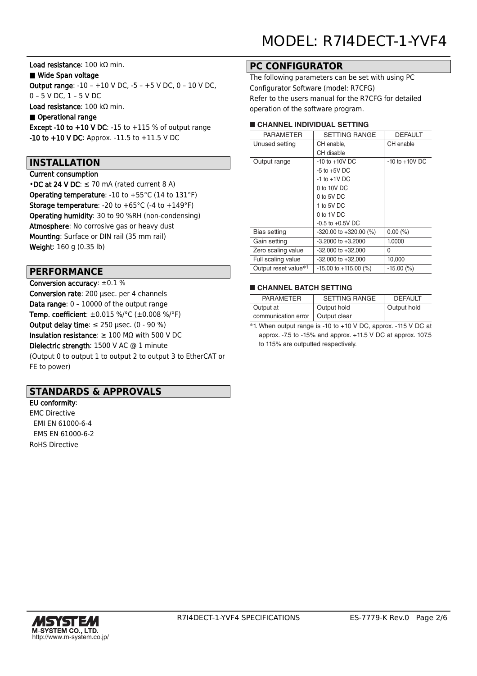Load resistance: 100 kΩ min.

#### ■ Wide Span voltage

Output range: -10 – +10 V DC, -5 – +5 V DC, 0 – 10 V DC, 0 – 5 V DC, 1 – 5 V DC

Load resistance: 100 kΩ min.

#### ■ Operational range

Except -10 to +10 V DC: -15 to +115 % of output range -10 to +10 V DC: Approx. -11.5 to +11.5 V DC

### **INSTALLATION**

#### Current consumption

• DC at 24 V DC:  $\leq$  70 mA (rated current 8 A) Operating temperature: -10 to +55°C (14 to 131°F) **Storage temperature:** -20 to  $+65^{\circ}$ C (-4 to  $+149^{\circ}$ F) Operating humidity: 30 to 90 %RH (non-condensing) Atmosphere: No corrosive gas or heavy dust Mounting: Surface or DIN rail (35 mm rail) Weight: 160 g (0.35 lb)

### **PERFORMANCE**

Conversion accuracy: ±0.1 % Conversion rate: 200 μsec. per 4 channels Data range: 0 - 10000 of the output range Temp. coefficient: ±0.015 %/°C (±0.008 %/°F) Output delay time:  $\leq$  250 µsec. (0 - 90 %) Insulation resistance:  $\geq 100$  M $\Omega$  with 500 V DC Dielectric strength: 1500 V AC @ 1 minute (Output 0 to output 1 to output 2 to output 3 to EtherCAT or FE to power)

### **STANDARDS & APPROVALS**

EU conformity: EMC Directive EMI EN 61000-6-4 EMS EN 61000-6-2 RoHS Directive

# **PC CONFIGURATOR**

The following parameters can be set with using PC Configurator Software (model: R7CFG) Refer to the users manual for the R7CFG for detailed operation of the software program.

#### ■ **CHANNEL INDIVIDUAL SETTING**

| <b>PARAMETER</b>                 | <b>SETTING RANGE</b>       | <b>DEFAULT</b>     |
|----------------------------------|----------------------------|--------------------|
| Unused setting                   | CH enable,                 | CH enable          |
|                                  | CH disable                 |                    |
| Output range                     | $-10$ to $+10V$ DC         | $-10$ to $+10V$ DC |
|                                  | $-5$ to $+5V$ DC           |                    |
|                                  | $-1$ to $+1V$ DC           |                    |
|                                  | $0$ to 10V DC              |                    |
|                                  | $0$ to 5V DC               |                    |
|                                  | 1 to 5V DC                 |                    |
|                                  | 0 to 1V DC                 |                    |
|                                  | $-0.5$ to $+0.5V$ DC       |                    |
| Bias setting                     | $-320.00$ to $+320.00$ (%) | $0.00\ (%)$        |
| Gain setting                     | $-3.2000$ to $+3.2000$     | 1.0000             |
| Zero scaling value               | $-32,000$ to $+32,000$     | 0                  |
| Full scaling value               | $-32,000$ to $+32,000$     | 10,000             |
| Output reset value <sup>*1</sup> | $-15.00$ to $+115.00$ (%)  | $-15.00$ (%)       |
|                                  |                            |                    |

#### ■ **CHANNEL BATCH SETTING**

| <b>PARAMETER</b>    | <b>SETTING RANGE</b> | <b>DEFAULT</b> |
|---------------------|----------------------|----------------|
| Output at           | Output hold          | Output hold    |
| communication error | Output clear         |                |

\*1. When output range is -10 to +10 V DC, approx. -115 V DC at approx. -7.5 to -15% and approx. +11.5 V DC at approx. 107.5 to 115% are outputted respectively.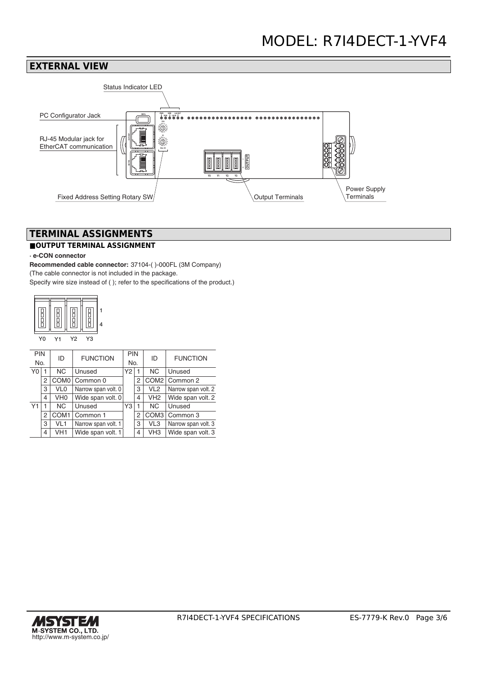### **EXTERNAL VIEW**



# **TERMINAL ASSIGNMENTS**

#### **■OUTPUT TERMINAL ASSIGNMENT**

#### **· e-CON connector**

**Recommended cable connector:** 37104-( )-000FL (3M Company) (The cable connector is not included in the package. Specify wire size instead of ( ); refer to the specifications of the product.)



#### Y0 Y1 Y2 Y3

| <b>PIN</b><br>No. |   | ID               | <b>FUNCTION</b>     | <b>PIN</b><br>No. |   | ID               | <b>FUNCTION</b>     |
|-------------------|---|------------------|---------------------|-------------------|---|------------------|---------------------|
| Y0                |   | NC.              | Unused              | Y2                |   | <b>NC</b>        | Unused              |
|                   | 2 | COM <sub>0</sub> | Common 0            |                   | 2 |                  | COM2   Common 2     |
|                   | 3 | VL <sub>0</sub>  | Narrow span volt. 0 |                   | 3 | VL <sub>2</sub>  | Narrow span volt. 2 |
|                   | 4 | VH <sub>0</sub>  | Wide span volt. 0   |                   | 4 | VH <sub>2</sub>  | Wide span volt. 2   |
| Υ1                |   | <b>NC</b>        | Unused              | Y3                |   | <b>NC</b>        | Unused              |
|                   | 2 | COM <sub>1</sub> | Common 1            |                   | 2 | COM <sub>3</sub> | Common 3            |
|                   | 3 | VL <sub>1</sub>  | Narrow span volt. 1 |                   | 3 | VL3              | Narrow span volt. 3 |
|                   | 4 | VH <sub>1</sub>  | Wide span volt. 1   |                   | 4 | VH <sub>3</sub>  | Wide span volt. 3   |

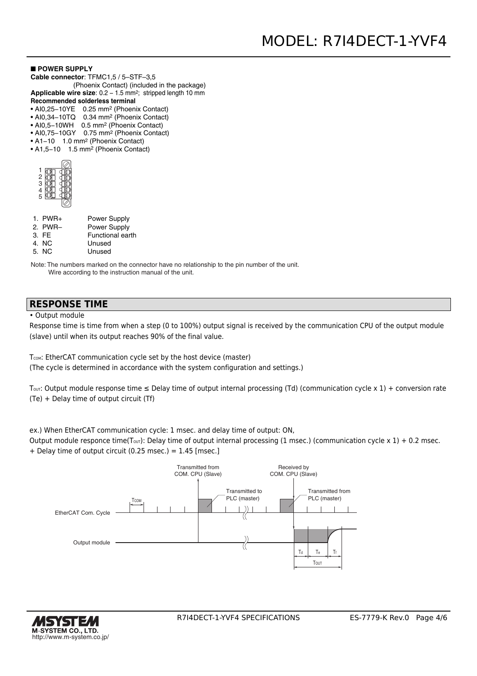#### ■ **POWER SUPPLY**

- **Cable connector**: TFMC1,5 / 5–STF–3,5
- (Phoenix Contact) (included in the package) Applicable wire size: 0.2 - 1.5 mm<sup>2</sup>; stripped length 10 mm
- **Recommended solderless terminal**
- AI0,25−10YE 0.25 mm2 (Phoenix Contact)
- AI0,34−10TQ 0.34 mm2 (Phoenix Contact)
- AI0,5−10WH 0.5 mm2 (Phoenix Contact)
- AI0,75−10GY 0.75 mm2 (Phoenix Contact)
- A1−10 1.0 mm2 (Phoenix Contact)
- A1,5−10 1.5 mm2 (Phoenix Contact)

| ٦<br>ć |  |
|--------|--|
| .<br>З |  |
|        |  |
| 5      |  |
|        |  |

| $1.$ PWR+ | <b>Power Supply</b> |
|-----------|---------------------|
| 2. PWR-   | <b>Power Supply</b> |
| 3. FE     | Functional earth    |
|           |                     |

- 4. NC Unused
- 5. NC Unused

Note: The numbers marked on the connector have no relationship to the pin number of the unit. Wire according to the instruction manual of the unit.

#### **RESPONSE TIME**

• Output module

Response time is time from when a step (0 to 100%) output signal is received by the communication CPU of the output module (slave) until when its output reaches 90% of the final value.

T<sub>COM</sub>: EtherCAT communication cycle set by the host device (master) (The cycle is determined in accordance with the system configuration and settings.)

T<sub>OUT</sub>: Output module response time  $\leq$  Delay time of output internal processing (Td) (communication cycle x 1) + conversion rate (Te) + Delay time of output circuit (Tf)

ex.) When EtherCAT communication cycle: 1 msec. and delay time of output: ON,

Output module responce time(T<sub>out</sub>): Delay time of output internal processing (1 msec.) (communication cycle x 1) + 0.2 msec. + Delay time of output circuit (0.25 msec.) = 1.45 [msec.]



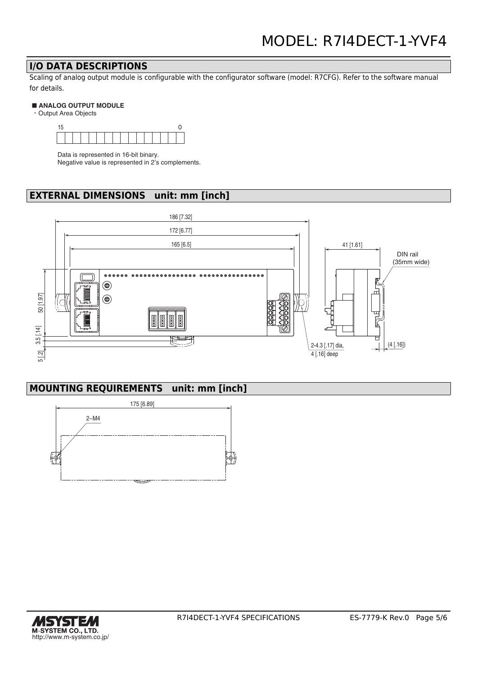### **I/O DATA DESCRIPTIONS**

Scaling of analog output module is configurable with the configurator software (model: R7CFG). Refer to the software manual for details.

#### ■ **ANALOG OUTPUT MODULE**

・Output Area Objects



Data is represented in 16-bit binary. Negative value is represented in 2's complements.

# **EXTERNAL DIMENSIONS unit: mm [inch]**



# **MOUNTING REQUIREMENTS unit: mm [inch]**